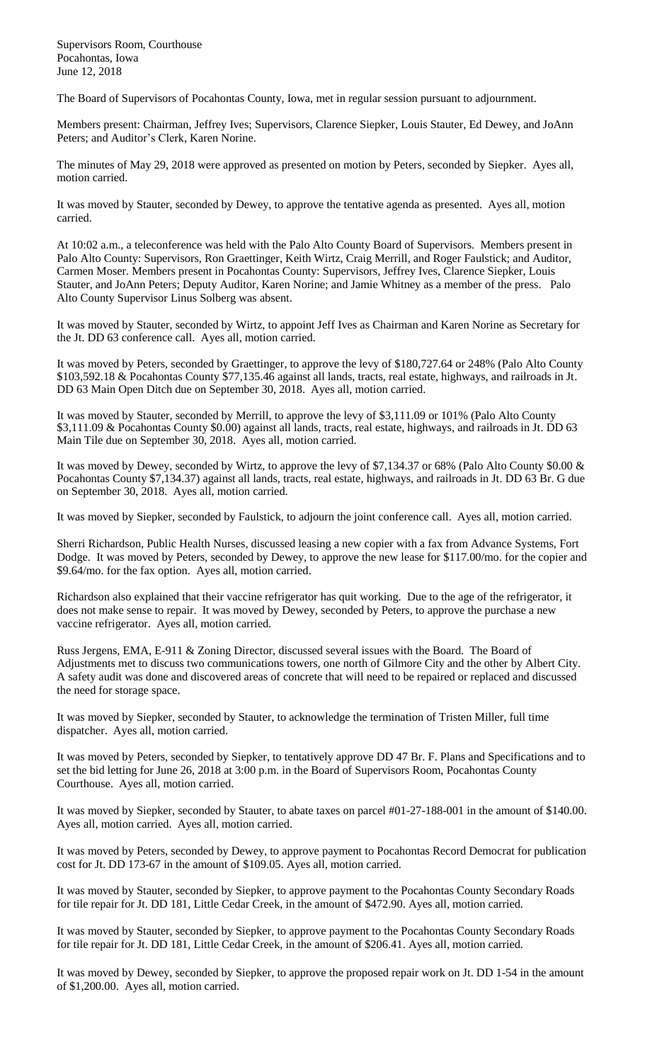Supervisors Room, Courthouse Pocahontas, Iowa June 12, 2018

The Board of Supervisors of Pocahontas County, Iowa, met in regular session pursuant to adjournment.

Members present: Chairman, Jeffrey Ives; Supervisors, Clarence Siepker, Louis Stauter, Ed Dewey, and JoAnn Peters; and Auditor's Clerk, Karen Norine.

The minutes of May 29, 2018 were approved as presented on motion by Peters, seconded by Siepker. Ayes all, motion carried.

It was moved by Stauter, seconded by Dewey, to approve the tentative agenda as presented. Ayes all, motion carried.

At 10:02 a.m., a teleconference was held with the Palo Alto County Board of Supervisors. Members present in Palo Alto County: Supervisors, Ron Graettinger, Keith Wirtz, Craig Merrill, and Roger Faulstick; and Auditor, Carmen Moser. Members present in Pocahontas County: Supervisors, Jeffrey Ives, Clarence Siepker, Louis Stauter, and JoAnn Peters; Deputy Auditor, Karen Norine; and Jamie Whitney as a member of the press. Palo Alto County Supervisor Linus Solberg was absent.

It was moved by Stauter, seconded by Wirtz, to appoint Jeff Ives as Chairman and Karen Norine as Secretary for the Jt. DD 63 conference call. Ayes all, motion carried.

It was moved by Peters, seconded by Graettinger, to approve the levy of \$180,727.64 or 248% (Palo Alto County \$103,592.18 & Pocahontas County \$77,135.46 against all lands, tracts, real estate, highways, and railroads in Jt. DD 63 Main Open Ditch due on September 30, 2018. Ayes all, motion carried.

It was moved by Stauter, seconded by Merrill, to approve the levy of \$3,111.09 or 101% (Palo Alto County \$3,111.09 & Pocahontas County \$0.00) against all lands, tracts, real estate, highways, and railroads in Jt. DD 63 Main Tile due on September 30, 2018. Ayes all, motion carried.

It was moved by Dewey, seconded by Wirtz, to approve the levy of \$7,134.37 or 68% (Palo Alto County \$0.00 & Pocahontas County \$7,134.37) against all lands, tracts, real estate, highways, and railroads in Jt. DD 63 Br. G due on September 30, 2018. Ayes all, motion carried.

It was moved by Siepker, seconded by Faulstick, to adjourn the joint conference call. Ayes all, motion carried.

Sherri Richardson, Public Health Nurses, discussed leasing a new copier with a fax from Advance Systems, Fort Dodge. It was moved by Peters, seconded by Dewey, to approve the new lease for \$117.00/mo. for the copier and \$9.64/mo. for the fax option. Ayes all, motion carried.

Richardson also explained that their vaccine refrigerator has quit working. Due to the age of the refrigerator, it does not make sense to repair. It was moved by Dewey, seconded by Peters, to approve the purchase a new vaccine refrigerator. Ayes all, motion carried.

Russ Jergens, EMA, E-911 & Zoning Director, discussed several issues with the Board. The Board of Adjustments met to discuss two communications towers, one north of Gilmore City and the other by Albert City. A safety audit was done and discovered areas of concrete that will need to be repaired or replaced and discussed the need for storage space.

It was moved by Siepker, seconded by Stauter, to acknowledge the termination of Tristen Miller, full time dispatcher. Ayes all, motion carried.

It was moved by Peters, seconded by Siepker, to tentatively approve DD 47 Br. F. Plans and Specifications and to set the bid letting for June 26, 2018 at 3:00 p.m. in the Board of Supervisors Room, Pocahontas County Courthouse. Ayes all, motion carried.

It was moved by Siepker, seconded by Stauter, to abate taxes on parcel #01-27-188-001 in the amount of \$140.00. Ayes all, motion carried. Ayes all, motion carried.

It was moved by Peters, seconded by Dewey, to approve payment to Pocahontas Record Democrat for publication cost for Jt. DD 173-67 in the amount of \$109.05. Ayes all, motion carried.

It was moved by Stauter, seconded by Siepker, to approve payment to the Pocahontas County Secondary Roads for tile repair for Jt. DD 181, Little Cedar Creek, in the amount of \$472.90. Ayes all, motion carried.

It was moved by Stauter, seconded by Siepker, to approve payment to the Pocahontas County Secondary Roads for tile repair for Jt. DD 181, Little Cedar Creek, in the amount of \$206.41. Ayes all, motion carried.

It was moved by Dewey, seconded by Siepker, to approve the proposed repair work on Jt. DD 1-54 in the amount of \$1,200.00. Ayes all, motion carried.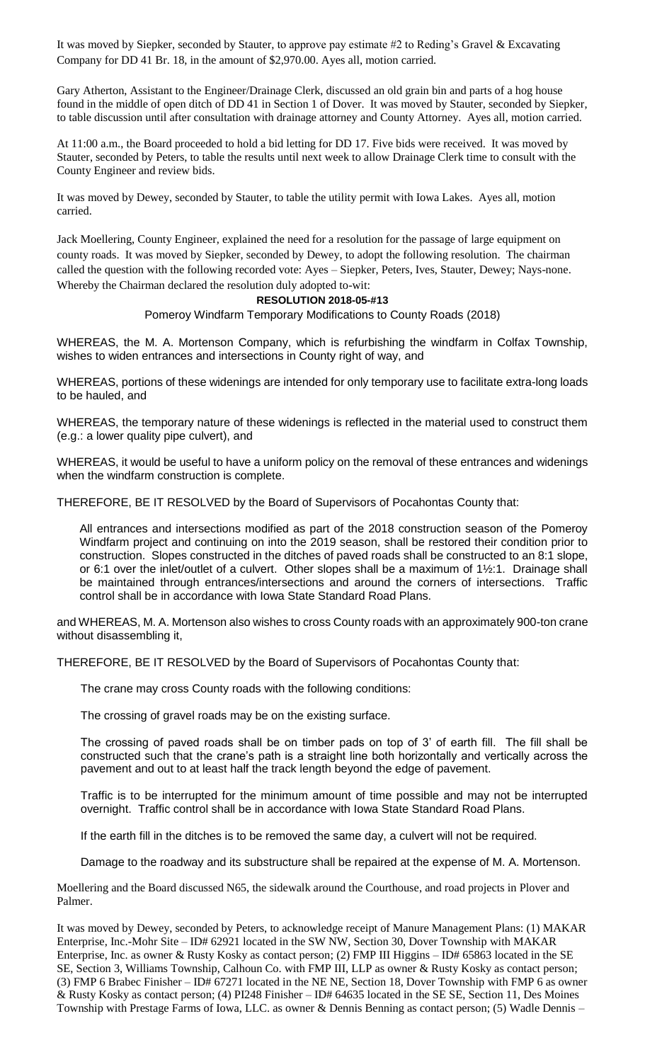It was moved by Siepker, seconded by Stauter, to approve pay estimate #2 to Reding's Gravel & Excavating Company for DD 41 Br. 18, in the amount of \$2,970.00. Ayes all, motion carried.

Gary Atherton, Assistant to the Engineer/Drainage Clerk, discussed an old grain bin and parts of a hog house found in the middle of open ditch of DD 41 in Section 1 of Dover. It was moved by Stauter, seconded by Siepker, to table discussion until after consultation with drainage attorney and County Attorney. Ayes all, motion carried.

At 11:00 a.m., the Board proceeded to hold a bid letting for DD 17. Five bids were received. It was moved by Stauter, seconded by Peters, to table the results until next week to allow Drainage Clerk time to consult with the County Engineer and review bids.

It was moved by Dewey, seconded by Stauter, to table the utility permit with Iowa Lakes. Ayes all, motion carried.

Jack Moellering, County Engineer, explained the need for a resolution for the passage of large equipment on county roads. It was moved by Siepker, seconded by Dewey, to adopt the following resolution. The chairman called the question with the following recorded vote: Ayes – Siepker, Peters, Ives, Stauter, Dewey; Nays-none. Whereby the Chairman declared the resolution duly adopted to-wit:

## **RESOLUTION 2018-05-#13**

Pomeroy Windfarm Temporary Modifications to County Roads (2018)

WHEREAS, the M. A. Mortenson Company, which is refurbishing the windfarm in Colfax Township, wishes to widen entrances and intersections in County right of way, and

WHEREAS, portions of these widenings are intended for only temporary use to facilitate extra-long loads to be hauled, and

WHEREAS, the temporary nature of these widenings is reflected in the material used to construct them (e.g.: a lower quality pipe culvert), and

WHEREAS, it would be useful to have a uniform policy on the removal of these entrances and widenings when the windfarm construction is complete.

THEREFORE, BE IT RESOLVED by the Board of Supervisors of Pocahontas County that:

All entrances and intersections modified as part of the 2018 construction season of the Pomeroy Windfarm project and continuing on into the 2019 season, shall be restored their condition prior to construction. Slopes constructed in the ditches of paved roads shall be constructed to an 8:1 slope, or 6:1 over the inlet/outlet of a culvert. Other slopes shall be a maximum of 1½:1. Drainage shall be maintained through entrances/intersections and around the corners of intersections. Traffic control shall be in accordance with Iowa State Standard Road Plans.

and WHEREAS, M. A. Mortenson also wishes to cross County roads with an approximately 900-ton crane without disassembling it,

THEREFORE, BE IT RESOLVED by the Board of Supervisors of Pocahontas County that:

The crane may cross County roads with the following conditions:

The crossing of gravel roads may be on the existing surface.

The crossing of paved roads shall be on timber pads on top of 3' of earth fill. The fill shall be constructed such that the crane's path is a straight line both horizontally and vertically across the pavement and out to at least half the track length beyond the edge of pavement.

Traffic is to be interrupted for the minimum amount of time possible and may not be interrupted overnight. Traffic control shall be in accordance with Iowa State Standard Road Plans.

If the earth fill in the ditches is to be removed the same day, a culvert will not be required.

Damage to the roadway and its substructure shall be repaired at the expense of M. A. Mortenson.

Moellering and the Board discussed N65, the sidewalk around the Courthouse, and road projects in Plover and Palmer.

It was moved by Dewey, seconded by Peters, to acknowledge receipt of Manure Management Plans: (1) MAKAR Enterprise, Inc.-Mohr Site – ID# 62921 located in the SW NW, Section 30, Dover Township with MAKAR Enterprise, Inc. as owner & Rusty Kosky as contact person; (2) FMP III Higgins – ID# 65863 located in the SE SE, Section 3, Williams Township, Calhoun Co. with FMP III, LLP as owner & Rusty Kosky as contact person; (3) FMP 6 Brabec Finisher – ID# 67271 located in the NE NE, Section 18, Dover Township with FMP 6 as owner & Rusty Kosky as contact person; (4) PI248 Finisher – ID# 64635 located in the SE SE, Section 11, Des Moines Township with Prestage Farms of Iowa, LLC. as owner & Dennis Benning as contact person; (5) Wadle Dennis –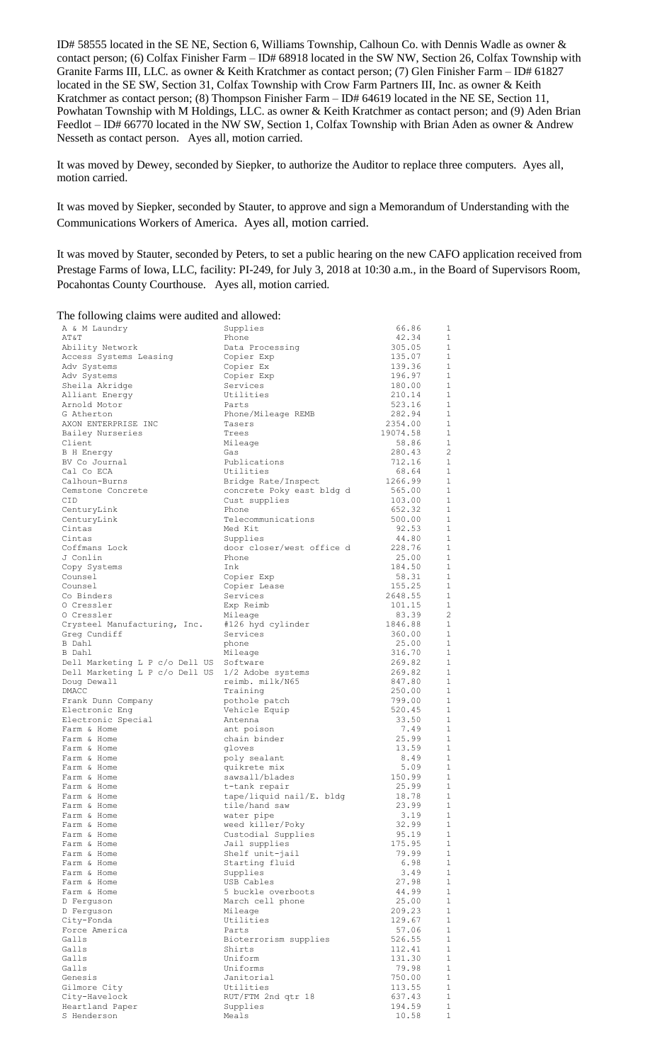ID# 58555 located in the SE NE, Section 6, Williams Township, Calhoun Co. with Dennis Wadle as owner & contact person; (6) Colfax Finisher Farm – ID# 68918 located in the SW NW, Section 26, Colfax Township with Granite Farms III, LLC. as owner & Keith Kratchmer as contact person; (7) Glen Finisher Farm – ID# 61827 located in the SE SW, Section 31, Colfax Township with Crow Farm Partners III, Inc. as owner & Keith Kratchmer as contact person; (8) Thompson Finisher Farm – ID# 64619 located in the NE SE, Section 11, Powhatan Township with M Holdings, LLC. as owner & Keith Kratchmer as contact person; and (9) Aden Brian Feedlot – ID# 66770 located in the NW SW, Section 1, Colfax Township with Brian Aden as owner & Andrew Nesseth as contact person. Ayes all, motion carried.

It was moved by Dewey, seconded by Siepker, to authorize the Auditor to replace three computers. Ayes all, motion carried.

It was moved by Siepker, seconded by Stauter, to approve and sign a Memorandum of Understanding with the Communications Workers of America. Ayes all, motion carried.

It was moved by Stauter, seconded by Peters, to set a public hearing on the new CAFO application received from Prestage Farms of Iowa, LLC, facility: PI-249, for July 3, 2018 at 10:30 a.m., in the Board of Supervisors Room, Pocahontas County Courthouse. Ayes all, motion carried.

## The following claims were audited and allowed:

| **** ***** *********                    |                                |                  |                             |
|-----------------------------------------|--------------------------------|------------------|-----------------------------|
| A & M Laundry                           | Supplies                       | 66.86            | 1                           |
| AT&T                                    | Phone                          | 42.34            | 1                           |
| Ability Network                         | Data Processing                | 305.05           | 1                           |
| Access Systems Leasing                  | Copier Exp                     | 135.07           | 1                           |
| Adv Systems                             | Copier Ex                      | 139.36           | 1                           |
| Adv Systems                             | Copier Exp                     | 196.97           | $\mathbf{1}$                |
| Sheila Akridge                          | Services<br>Utilities          | 180.00<br>210.14 | 1<br>$\mathbf{1}$           |
| Alliant Energy<br>Arnold Motor          | Parts                          | 523.16           | 1                           |
| G Atherton                              | Phone/Mileage REMB             | 282.94           | 1                           |
| AXON ENTERPRISE INC                     | Tasers                         | 2354.00          | 1                           |
| Bailey Nurseries                        | Trees                          | 19074.58         | $\mathbf{1}$                |
| Client                                  | Mileage                        | 58.86            | 1                           |
| B H Energy                              | Gas                            | 280.43           | $\overline{c}$              |
| BV Co Journal                           | Publications                   | 712.16           | 1                           |
| Cal Co ECA                              | Utilities                      | 68.64            | $\mathbf{1}$                |
| Calhoun-Burns                           | Bridge Rate/Inspect            | 1266.99          | 1                           |
| Cemstone Concrete                       | concrete Poky east bldg d      | 565.00           | 1                           |
| CID                                     | Cust supplies                  | 103.00           | $\mathbf{1}$                |
| CenturyLink                             | Phone                          | 652.32           | 1<br>$\mathbf{1}$           |
| CenturyLink<br>Cintas                   | Telecommunications<br>Med Kit  | 500.00<br>92.53  | 1                           |
| Cintas                                  | Supplies                       | 44.80            | $\mathbf 1$                 |
| Coffmans Lock                           | door closer/west office d      | 228.76           | 1                           |
| J Conlin                                | Phone                          | 25.00            | 1                           |
| Copy Systems                            | Ink                            | 184.50           | 1                           |
| Counsel                                 | Copier Exp                     | 58.31            | 1                           |
| Counsel                                 | Copier Lease                   | 155.25           | 1                           |
| Co Binders                              | Services                       | 2648.55          | 1                           |
| 0 Cressler                              | Exp Reimb                      | 101.15           | 1                           |
| 0 Cressler                              | Mileage                        | 83.39            | $\overline{2}$              |
| Crysteel Manufacturing, Inc.            | #126 hyd cylinder              | 1846.88          | 1                           |
| Greg Cundiff                            | Services                       | 360.00           | $\mathbf{1}$                |
| B Dahl<br>B Dahl                        | phone                          | 25.00<br>316.70  | 1<br>1                      |
| Dell Marketing L P c/o Dell US Software | Mileage                        | 269.82           | 1                           |
| Dell Marketing L P c/o Dell US          | 1/2 Adobe systems              | 269.82           | $\mathbf{1}$                |
| Doug Dewall                             | reimb. milk/N65                | 847.80           | 1                           |
| DMACC                                   | Training                       | 250.00           | $\mathbf{1}$                |
| Frank Dunn Company                      | pothole patch                  | 799.00           | 1                           |
| Electronic Eng                          | Vehicle Equip                  | 520.45           | $\mathbf{1}$                |
| Electronic Special                      | Antenna                        | 33.50            | 1                           |
| Farm & Home                             | ant poison                     | 7.49             | $\mathbf{1}$                |
| Farm & Home                             | chain binder                   | 25.99            | $\mathbf{1}$                |
| Farm & Home                             | gloves                         | 13.59            | $\mathbf{1}$                |
| Farm & Home                             | poly sealant                   | 8.49             | $\mathbf{1}$                |
| Farm & Home<br>Farm & Home              | quikrete mix<br>sawsall/blades | 5.09<br>150.99   | $\mathbf{1}$<br>1           |
| Farm & Home                             | t-tank repair                  | 25.99            | $\mathbf{1}$                |
| Farm & Home                             | tape/liquid nail/E. bldg       | 18.78            | 1                           |
| Farm & Home                             | tile/hand saw                  | 23.99            | $\mathbf{1}$                |
| Farm & Home                             | water pipe                     | 3.19             | 1                           |
| Farm & Home                             | weed killer/Poky               | 32.99            | $\mathbf 1$                 |
| Farm & Home                             | Custodial Supplies             | 95.19            | $\mathbf{1}$                |
| Farm & Home                             | Jail supplies                  | 175.95           | $\mathbf{1}$                |
| Farm & Home                             | Shelf unit-jail                | 79.99            | 1                           |
| Farm & Home                             | Starting fluid                 | 6.98             | $\mathbf{1}$                |
| Farm & Home                             | Supplies                       | 3.49             | 1                           |
| Farm & Home                             | USB Cables                     | 27.98            | 1                           |
| Farm & Home                             | 5 buckle overboots             | 44.99            | $\mathbf 1$                 |
| D Ferquson<br>D Ferquson                | March cell phone<br>Mileage    | 25.00<br>209.23  | $\mathbf{1}$<br>$\mathbf 1$ |
| City-Fonda                              | Utilities                      | 129.67           | $\mathbf{1}$                |
| Force America                           | Parts                          | 57.06            | $\mathbf{1}$                |
| Galls                                   | Bioterrorism supplies          | 526.55           | 1                           |
| Galls                                   | Shirts                         | 112.41           | $\mathbf 1$                 |
| Galls                                   | Uniform                        | 131.30           | $\mathbf{1}$                |
| Galls                                   | Uniforms                       | 79.98            | $\mathbf 1$                 |
| Genesis                                 | Janitorial                     | 750.00           | 1                           |
| Gilmore City                            | Utilities                      | 113.55           | $\mathbf{1}$                |
| City-Havelock                           | RUT/FTM 2nd qtr 18             | 637.43           | 1                           |
| Heartland Paper                         | Supplies                       | 194.59           | $\mathbf 1$                 |
| S Henderson                             | Meals                          | 10.58            | 1                           |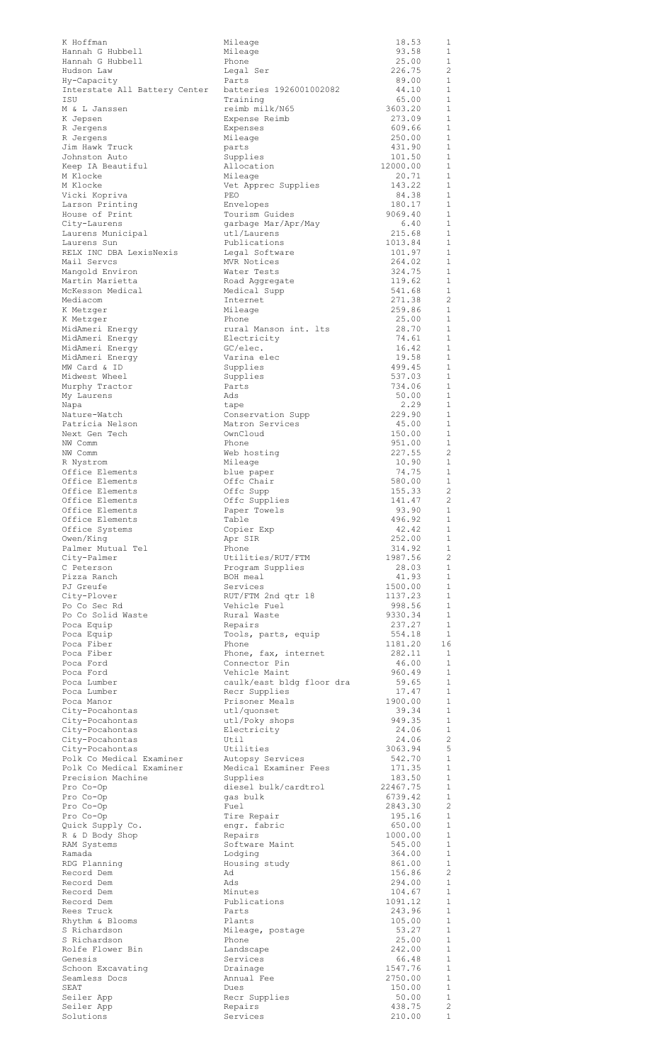| K Hoffman<br>Hannah G Hubbell          | Mileage<br>Mileage                 | 18.53<br>93.58    | 1<br>1                         |
|----------------------------------------|------------------------------------|-------------------|--------------------------------|
| Hannah G Hubbell                       | Phone                              | 25.00             | $\mathbf{1}$                   |
| Hudson Law                             | Legal Ser                          | 226.75            | -2                             |
| Hy-Capacity                            | Parts                              | 89.00             | 1                              |
| Interstate All Battery Center          | batteries 1926001002082            | 44.10             | 1                              |
| ISU                                    | Training                           | 65.00             | $\mathbf{1}$                   |
| M & L Janssen                          | reimb milk/N65                     | 3603.20           | 1                              |
| K Jepsen                               | Expense Reimb                      | 273.09            | $\mathbf{1}$                   |
| R Jergens                              | Expenses                           | 609.66            | $\mathbf{1}$                   |
| R Jergens<br>Jim Hawk Truck            | Mileage<br>parts                   | 250.00<br>431.90  | $\mathbf{1}$<br>1              |
| Johnston Auto                          | Supplies                           | 101.50            | $\mathbf{1}$                   |
| Keep IA Beautiful                      | Allocation                         | 12000.00          | 1                              |
| M Klocke                               | Mileage                            | 20.71             | $\mathbf{1}$                   |
| M Klocke                               | Vet Apprec Supplies                | 143.22            | 1                              |
| Vicki Kopriva                          | PEO                                | 84.38             | 1                              |
| Larson Printing                        | Envelopes                          | 180.17            | 1                              |
| House of Print                         | Tourism Guides                     | 9069.40           | 1                              |
| City-Laurens                           | garbage Mar/Apr/May                | 6.40              | 1                              |
| Laurens Municipal                      | utl/Laurens                        | 215.68            | 1                              |
| Laurens Sun                            | Publications                       | 1013.84           | 1                              |
| RELX INC DBA LexisNexis<br>Mail Servcs | Legal Software<br>MVR Notices      | 101.97<br>264.02  | 1<br>1                         |
| Mangold Environ                        | Water Tests                        | 324.75            | <sup>1</sup>                   |
| Martin Marietta                        | Road Aggregate                     | 119.62            | 1                              |
| McKesson Medical                       | Medical Supp                       | 541.68            | <sup>1</sup>                   |
| Mediacom                               | Internet                           | 271.38            | -2                             |
| K Metzger                              | Mileage                            | 259.86            | <sup>1</sup>                   |
| K Metzger                              | Phone                              | 25.00             | -1                             |
| MidAmeri Energy                        | rural Manson int. Its              | 28.70             | <sup>1</sup>                   |
| MidAmeri Enerqy                        | Electricity                        | 74.61             | $\mathbf{1}$                   |
| MidAmeri Energy                        | GC/elec.                           | 16.42             | $\mathbf{1}$                   |
| MidAmeri Energy                        | Varina elec                        | 19.58             | 1                              |
| MW Card & ID<br>Midwest Wheel          | Supplies                           | 499.45<br>537.03  | <sup>1</sup><br>$\mathbf{1}$   |
|                                        | Supplies<br>Parts                  |                   | 1                              |
| Murphy Tractor<br>My Laurens           | Ads                                | 734.06<br>50.00   | $\mathbf{1}$                   |
| Napa                                   | tape                               | 2.29              | -1                             |
| Nature-Watch                           | Conservation Supp                  | 229.90            | $\mathbf{1}$                   |
| Patricia Nelson                        | Matron Services                    | 45.00             | 1                              |
| Next Gen Tech                          | OwnCloud                           | 150.00            | $\mathbf{1}$                   |
| NW Comm                                | Phone                              | 951.00            | 1                              |
| NW Comm                                | Web hosting                        | 227.55            | $\overline{\phantom{a}}$       |
| R Nystrom                              | Mileage                            | 10.90             | 1                              |
| Office Elements                        | blue paper                         | 74.75             | $\mathbf{1}$                   |
| Office Elements                        | Offc Chair                         | 580.00            | 1                              |
| Office Elements<br>Office Elements     | Offc Supp<br>Offc Supplies         | 155.33<br>141.47  | $\overline{2}$<br>2            |
| Office Elements                        | Paper Towels                       | 93.90             | $\overline{1}$                 |
| Office Elements                        | Table                              | 496.92            | 1                              |
| Office Systems                         | Copier Exp                         | 42.42             | $\overline{1}$                 |
| Owen/King                              | Apr SIR                            | 252.00            | 1                              |
| Palmer Mutual Tel                      | Phone                              | 314.92            | -1                             |
| City-Palmer                            | Utilities/RUT/FTM                  | 1987.56           | $\overline{c}$                 |
| C Peterson                             | Program Supplies                   | 28.03             | -1                             |
| Pizza Ranch                            | BOH meal                           | 41.93             | 1                              |
| PJ Greufe                              | Services                           | 1500.00           | 1                              |
| City-Plover<br>Po Co Sec Rd            | RUT/FTM 2nd qtr 18<br>Vehicle Fuel | 1137.23<br>998.56 | 1<br>$\mathbf{1}$              |
| Po Co Solid Waste                      | Rural Waste                        | 9330.34           | 1                              |
| Poca Equip                             | Repairs                            | 237.27            | <sup>1</sup>                   |
| Poca Equip                             | Tools, parts, equip                | 554.18            | $\mathbf{1}$                   |
| Poca Fiber                             | Phone                              | 1181.20           | 16                             |
| Poca Fiber                             | Phone, fax, internet               | 282.11            | $\overline{1}$                 |
| Poca Ford                              | Connector Pin                      | 46.00             | <sup>1</sup>                   |
| Poca Ford                              | Vehicle Maint                      | 960.49            | -1                             |
| Poca Lumber                            | caulk/east bldg floor dra          | 59.65             | 1                              |
| Poca Lumber                            | Recr Supplies                      | 17.47             | 1<br>1                         |
| Poca Manor<br>City-Pocahontas          | Prisoner Meals<br>utl/quonset      | 1900.00<br>39.34  | 1                              |
| City-Pocahontas                        | utl/Poky shops                     | 949.35            | $\overline{1}$                 |
| City-Pocahontas                        | Electricity                        | 24.06             | <sup>1</sup>                   |
| City-Pocahontas                        | Util                               | 24.06             | $\overline{2}$                 |
| City-Pocahontas                        | Utilities                          | 3063.94           | -5                             |
| Polk Co Medical Examiner               | Autopsy Services                   | 542.70            | <sup>1</sup>                   |
| Polk Co Medical Examiner               | Medical Examiner Fees              | 171.35            | $\mathbf{1}$                   |
| Precision Machine                      | Supplies                           | 183.50            | $\mathbf{1}$                   |
| Pro Co-Op                              | diesel bulk/cardtrol               | 22467.75          | $\mathbf{1}$                   |
| Pro Co-Op                              | gas bulk                           | 6739.42           | <sup>1</sup>                   |
| Pro Co-Op<br>Pro Co-Op                 | Fuel<br>Tire Repair                | 2843.30<br>195.16 | $\overline{c}$<br><sup>1</sup> |
| Quick Supply Co.                       | engr. fabric                       | 650.00            | $\mathbf{1}$                   |
| R & D Body Shop                        | Repairs                            | 1000.00           | $\mathbf{1}$                   |
| RAM Systems                            | Software Maint                     | 545.00            | $\mathbf{1}$                   |
| Ramada                                 | Lodging                            | 364.00            | 1                              |
| RDG Planning                           | Housing study                      | 861.00            | $\mathbf{1}$                   |
| Record Dem                             | Ad                                 | 156.86            | -2                             |
| Record Dem                             | Ads                                | 294.00            | $\mathbf{1}$                   |
| Record Dem                             | Minutes                            | 104.67            | 1                              |
| Record Dem                             | Publications                       | 1091.12<br>243.96 | $\mathbf{1}$                   |
| Rees Truck<br>Rhythm & Blooms          | Parts<br>Plants                    | 105.00            | 1<br>$\mathbf{1}$              |
| S Richardson                           | Mileage, postage                   | 53.27             | -1                             |
| S Richardson                           | Phone                              | 25.00             | $\overline{1}$                 |
| Rolfe Flower Bin                       | Landscape                          | 242.00            | <sup>1</sup>                   |
| Genesis                                | Services                           | 66.48             | $\overline{1}$                 |
| Schoon Excavating                      | Drainage                           | 1547.76           | <sup>1</sup>                   |
| Seamless Docs                          | Annual Fee                         | 2750.00           | $\mathbf{1}$                   |
| SEAT                                   | Dues                               | 150.00            | $\mathbf{1}$                   |
| Seiler App                             | Recr Supplies                      | 50.00             | $\mathbf 1$                    |
| Seiler App                             | Repairs                            | 438.75            | $\overline{c}$                 |
| Solutions                              | Services                           | 210.00            | $\,1\,$                        |